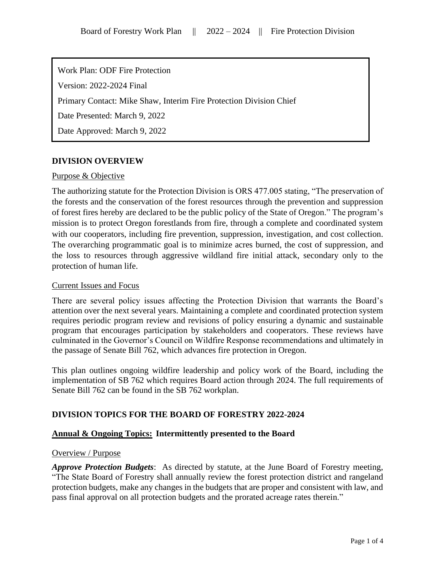Work Plan: ODF Fire Protection Version: 2022-2024 Final Primary Contact: Mike Shaw, Interim Fire Protection Division Chief Date Presented: March 9, 2022 Date Approved: March 9, 2022

# **DIVISION OVERVIEW**

## Purpose & Objective

The authorizing statute for the Protection Division is ORS 477.005 stating, "The preservation of the forests and the conservation of the forest resources through the prevention and suppression of forest fires hereby are declared to be the public policy of the State of Oregon." The program's mission is to protect Oregon forestlands from fire, through a complete and coordinated system with our cooperators, including fire prevention, suppression, investigation, and cost collection. The overarching programmatic goal is to minimize acres burned, the cost of suppression, and the loss to resources through aggressive wildland fire initial attack, secondary only to the protection of human life.

### Current Issues and Focus

There are several policy issues affecting the Protection Division that warrants the Board's attention over the next several years. Maintaining a complete and coordinated protection system requires periodic program review and revisions of policy ensuring a dynamic and sustainable program that encourages participation by stakeholders and cooperators. These reviews have culminated in the Governor's Council on Wildfire Response recommendations and ultimately in the passage of Senate Bill 762, which advances fire protection in Oregon.

This plan outlines ongoing wildfire leadership and policy work of the Board, including the implementation of SB 762 which requires Board action through 2024. The full requirements of Senate Bill 762 can be found in the SB 762 workplan.

## **DIVISION TOPICS FOR THE BOARD OF FORESTRY 2022-2024**

## **Annual & Ongoing Topics: Intermittently presented to the Board**

### Overview / Purpose

*Approve Protection Budgets*: As directed by statute, at the June Board of Forestry meeting, "The State Board of Forestry shall annually review the forest protection district and rangeland protection budgets, make any changes in the budgets that are proper and consistent with law, and pass final approval on all protection budgets and the prorated acreage rates therein."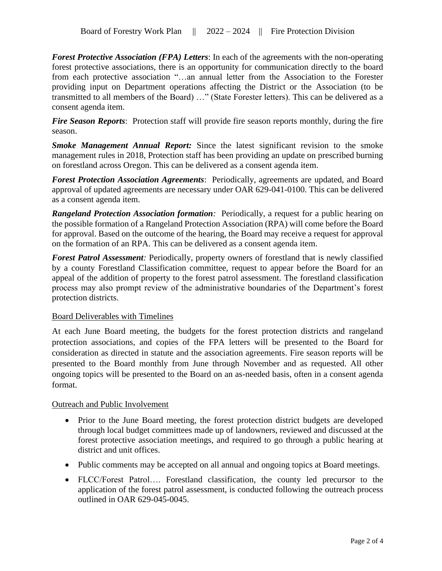*Forest Protective Association (FPA) Letters*: In each of the agreements with the non-operating forest protective associations, there is an opportunity for communication directly to the board from each protective association "…an annual letter from the Association to the Forester providing input on Department operations affecting the District or the Association (to be transmitted to all members of the Board) …" (State Forester letters). This can be delivered as a consent agenda item.

*Fire Season Reports*: Protection staff will provide fire season reports monthly, during the fire season.

*Smoke Management Annual Report:* Since the latest significant revision to the smoke management rules in 2018, Protection staff has been providing an update on prescribed burning on forestland across Oregon. This can be delivered as a consent agenda item.

*Forest Protection Association Agreements*: Periodically, agreements are updated, and Board approval of updated agreements are necessary under OAR 629-041-0100. This can be delivered as a consent agenda item.

*Rangeland Protection Association formation:* Periodically, a request for a public hearing on the possible formation of a Rangeland Protection Association (RPA) will come before the Board for approval. Based on the outcome of the hearing, the Board may receive a request for approval on the formation of an RPA. This can be delivered as a consent agenda item.

*Forest Patrol Assessment:* Periodically, property owners of forestland that is newly classified by a county Forestland Classification committee, request to appear before the Board for an appeal of the addition of property to the forest patrol assessment. The forestland classification process may also prompt review of the administrative boundaries of the Department's forest protection districts.

## Board Deliverables with Timelines

At each June Board meeting, the budgets for the forest protection districts and rangeland protection associations, and copies of the FPA letters will be presented to the Board for consideration as directed in statute and the association agreements. Fire season reports will be presented to the Board monthly from June through November and as requested. All other ongoing topics will be presented to the Board on an as-needed basis, often in a consent agenda format.

## Outreach and Public Involvement

- Prior to the June Board meeting, the forest protection district budgets are developed through local budget committees made up of landowners, reviewed and discussed at the forest protective association meetings, and required to go through a public hearing at district and unit offices.
- Public comments may be accepted on all annual and ongoing topics at Board meetings.
- FLCC/Forest Patrol…. Forestland classification, the county led precursor to the application of the forest patrol assessment, is conducted following the outreach process outlined in OAR 629-045-0045.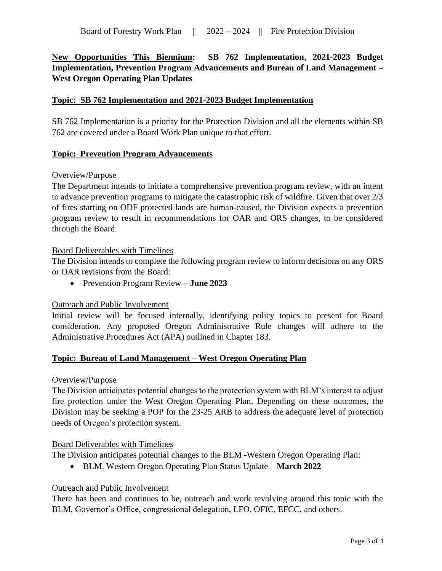**New Opportunities This Biennium: SB 762 Implementation, 2021-2023 Budget Implementation, Prevention Program Advancements and Bureau of Land Management – West Oregon Operating Plan Updates**

## **Topic: SB 762 Implementation and 2021-2023 Budget Implementation**

SB 762 Implementation is a priority for the Protection Division and all the elements within SB 762 are covered under a Board Work Plan unique to that effort.

## **Topic: Prevention Program Advancements**

## Overview/Purpose

The Department intends to initiate a comprehensive prevention program review, with an intent to advance prevention programs to mitigate the catastrophic risk of wildfire. Given that over 2/3 of fires starting on ODF protected lands are human-caused, the Division expects a prevention program review to result in recommendations for OAR and ORS changes, to be considered through the Board.

### Board Deliverables with Timelines

The Division intends to complete the following program review to inform decisions on any ORS or OAR revisions from the Board:

• Prevention Program Review – **June 2023**

### Outreach and Public Involvement

Initial review will be focused internally, identifying policy topics to present for Board consideration. Any proposed Oregon Administrative Rule changes will adhere to the Administrative Procedures Act (APA) outlined in Chapter 183.

### **Topic: Bureau of Land Management – West Oregon Operating Plan**

### Overview/Purpose

The Division anticipates potential changes to the protection system with BLM's interest to adjust fire protection under the West Oregon Operating Plan. Depending on these outcomes, the Division may be seeking a POP for the 23-25 ARB to address the adequate level of protection needs of Oregon's protection system.

## Board Deliverables with Timelines

The Division anticipates potential changes to the BLM -Western Oregon Operating Plan:

• BLM, Western Oregon Operating Plan Status Update – **March 2022**

### Outreach and Public Involvement

There has been and continues to be, outreach and work revolving around this topic with the BLM, Governor's Office, congressional delegation, LFO, OFIC, EFCC, and others.